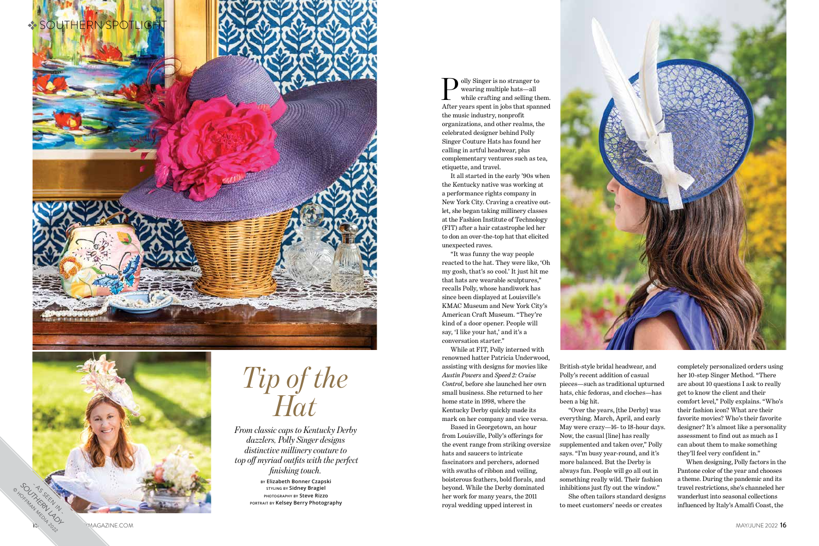## *Tip of the Hat*

*From classic caps to Kentucky Derby dazzlers, Polly Singer designs distinctive millinery couture to top off myriad outfits with the perfect finishing touch.*

> **by Elizabeth Bonner Czapski styling by Sidney Bragiel photography by Steve Rizzo portrait by Kelsey Berry Photography**



olly Singer is no stranger to wearing multiple hats—all while crafting and selling them. After years spent in jobs that spanned the music industry, nonprofit organizations, and other realms, the celebrated designer behind Polly Singer Couture Hats has found her calling in artful headwear, plus complementary ventures such as tea, etiquette, and travel.

It all started in the early '90s when the Kentucky native was working at a performance rights company in New York City. Craving a creative outlet, she began taking millinery classes at the Fashion Institute of Technology (FIT) after a hair catastrophe led her to don an over-the-top hat that elicited unexpected raves.

"It was funny the way people reacted to the hat. They were like, 'Oh my gosh, that's so cool.' It just hit me that hats are wearable sculptures," recalls Polly, whose handiwork has since been displayed at Louisville's KMAC Museum and New York City's American Craft Museum. "They're kind of a door opener. People will say, 'I like your hat,' and it's a conversation starter."

While at FIT, Polly interned with renowned hatter Patricia Underwood, assisting with designs for movies like *Austin Powers* and *Speed 2: Cruise Control*, before she launched her own small business. She returned to her home state in 1998, where the Kentucky Derby quickly made its mark on her company and vice versa.

Based in Georgetown, an hour from Louisville, Polly's offerings for the event range from striking oversize hats and saucers to intricate fascinators and perchers, adorned with swaths of ribbon and veiling, boisterous feathers, bold florals, and beyond. While the Derby dominated her work for many years, the 2011 royal wedding upped interest in



British-style bridal headwear, and Polly's recent addition of casual pieces—such as traditional upturned hats, chic fedoras, and cloches—has been a big hit.

"Over the years, [the Derby] was everything. March, April, and early May were crazy—16- to 18-hour days. Now, the casual [line] has really supplemented and taken over," Polly says. "I'm busy year-round, and it's more balanced. But the Derby is always fun. People will go all out in something really wild. Their fashion inhibitions just fly out the window."

She often tailors standard designs to meet customers' needs or creates

completely personalized orders using her 10-step Singer Method. "There are about 10 questions I ask to really get to know the client and their comfort level," Polly explains. "Who's their fashion icon? What are their favorite movies? Who's their favorite designer? It's almost like a personality assessment to find out as much as I can about them to make something they'll feel very confident in."

When designing, Polly factors in the Pantone color of the year and chooses a theme. During the pandemic and its travel restrictions, she's channeled her wanderlust into seasonal collections